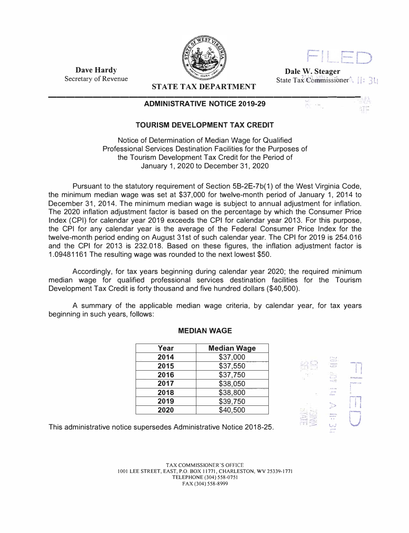



 $\mathbf{u}$  i  $\mathbf{A}$ 

NTE.

**Dale W. Steager**  State Tax<sup>2</sup>Commissioner<sup>4</sup>

 $\sim 42$ 

**Dave Hardy**  Secretary of Revenue

**STATE TAX DEPARTMENT**  --------------------------------------l

## **ADMINISTRATIVE NOTICE 2019-29**



Notice of Determination of Median Wage for Qualified Professional Services Destination Facilities for the Purposes of the Tourism Development Tax Credit for the Period of January 1, 2020 to December 31, 2020

Pursuant to the statutory requirement of Section 58-2E-7b(1) of the West Virginia Code, the minimum median wage was set at \$37,000 for twelve-month period of January 1, 2014 to December 31, 2014. The minimum median wage is subject to annual adjustment for inflation. The 2020 inflation adjustment factor is based on the percentage by which the Consumer Price Index (CPI) for calendar year 2019 exceeds the CPI for calendar year 2013. For this purpose, the CPI for any calendar year is the average of the Federal Consumer Price Index for the twelve-month period ending on August 31st of such calendar year. The CPI for 2019 is 254.016 and the CPI for 2013 is 232.018. Based on these figures, the inflation adjustment factor is 1.09481161 The resulting wage was rounded to the next lowest \$50.

Accordingly, for tax years beginning during calendar year 2020; the required minimum median wage for qualified professional services destination facilities for the Tourism Development Tax Credit is forty thousand and five hundred dollars (\$40,500).

A summary of the applicable median wage criteria, by calendar year, for tax years beginning in such years, follows:

| Year | <b>Median Wage</b> |
|------|--------------------|
| 2014 | \$37,000           |
| 2015 | \$37,550           |
| 2016 | \$37,750           |
| 2017 | \$38,050           |
| 2018 | \$38,800           |
| 2019 | \$39,750           |
| 2020 | \$40,500           |





This administrative notice supersedes Administrative Notice 2018-25.

TAX COMMISSIONER'S OFFICE 1001 LEE STREET, EAST, P.O. BOX 11771, CHARLESTON, WV 25339-1771 TELEPHONE (304) 558-0751 FAX (304) 558-8999